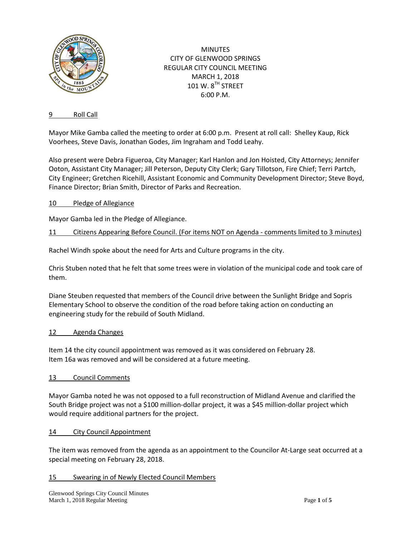

**MINUTES** CITY OF GLENWOOD SPRINGS REGULAR CITY COUNCIL MEETING MARCH 1, 2018 101 W. 8TH STREET 6:00 P.M.

#### 9 Roll Call

Mayor Mike Gamba called the meeting to order at 6:00 p.m. Present at roll call: Shelley Kaup, Rick Voorhees, Steve Davis, Jonathan Godes, Jim Ingraham and Todd Leahy.

Also present were Debra Figueroa, City Manager; Karl Hanlon and Jon Hoisted, City Attorneys; Jennifer Ooton, Assistant City Manager; Jill Peterson, Deputy City Clerk; Gary Tillotson, Fire Chief; Terri Partch, City Engineer; Gretchen Ricehill, Assistant Economic and Community Development Director; Steve Boyd, Finance Director; Brian Smith, Director of Parks and Recreation.

#### 10 Pledge of Allegiance

Mayor Gamba led in the Pledge of Allegiance.

#### 11 Citizens Appearing Before Council. (For items NOT on Agenda - comments limited to 3 minutes)

Rachel Windh spoke about the need for Arts and Culture programs in the city.

Chris Stuben noted that he felt that some trees were in violation of the municipal code and took care of them.

Diane Steuben requested that members of the Council drive between the Sunlight Bridge and Sopris Elementary School to observe the condition of the road before taking action on conducting an engineering study for the rebuild of South Midland.

#### 12 Agenda Changes

Item 14 the city council appointment was removed as it was considered on February 28. Item 16a was removed and will be considered at a future meeting.

#### 13 Council Comments

Mayor Gamba noted he was not opposed to a full reconstruction of Midland Avenue and clarified the South Bridge project was not a \$100 million-dollar project, it was a \$45 million-dollar project which would require additional partners for the project.

#### 14 City Council Appointment

The item was removed from the agenda as an appointment to the Councilor At-Large seat occurred at a special meeting on February 28, 2018.

#### 15 Swearing in of Newly Elected Council Members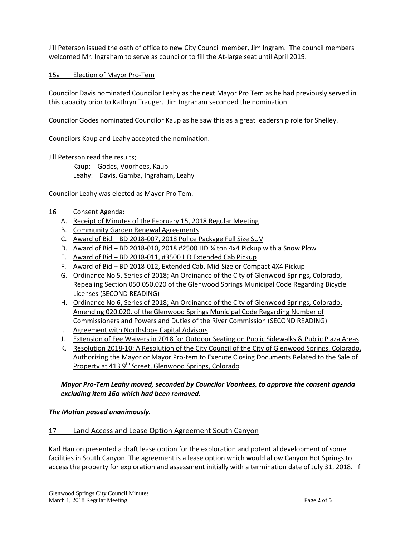Jill Peterson issued the oath of office to new City Council member, Jim Ingram. The council members welcomed Mr. Ingraham to serve as councilor to fill the At-large seat until April 2019.

### 15a Election of Mayor Pro-Tem

Councilor Davis nominated Councilor Leahy as the next Mayor Pro Tem as he had previously served in this capacity prior to Kathryn Trauger. Jim Ingraham seconded the nomination.

Councilor Godes nominated Councilor Kaup as he saw this as a great leadership role for Shelley.

Councilors Kaup and Leahy accepted the nomination.

Jill Peterson read the results:

Kaup: Godes, Voorhees, Kaup Leahy: Davis, Gamba, Ingraham, Leahy

Councilor Leahy was elected as Mayor Pro Tem.

### 16 Consent Agenda:

- A. Receipt of Minutes of the February 15, 2018 Regular Meeting
- B. Community Garden Renewal Agreements
- C. Award of Bid BD 2018-007, 2018 Police Package Full Size SUV
- D. Award of Bid BD 2018-010, 2018 #2500 HD  $\frac{3}{4}$  ton 4x4 Pickup with a Snow Plow
- E. Award of Bid BD 2018-011, #3500 HD Extended Cab Pickup
- F. Award of Bid BD 2018-012, Extended Cab, Mid-Size or Compact 4X4 Pickup
- G. Ordinance No 5, Series of 2018; An Ordinance of the City of Glenwood Springs, Colorado, Repealing Section 050.050.020 of the Glenwood Springs Municipal Code Regarding Bicycle Licenses (SECOND READING)
- H. Ordinance No 6, Series of 2018; An Ordinance of the City of Glenwood Springs, Colorado, Amending 020.020. of the Glenwood Springs Municipal Code Regarding Number of Commissioners and Powers and Duties of the River Commission (SECOND READING)
- I. Agreement with Northslope Capital Advisors
- J. Extension of Fee Waivers in 2018 for Outdoor Seating on Public Sidewalks & Public Plaza Areas
- K. Resolution 2018-10; A Resolution of the City Council of the City of Glenwood Springs, Colorado, Authorizing the Mayor or Mayor Pro-tem to Execute Closing Documents Related to the Sale of Property at 413 9<sup>th</sup> Street, Glenwood Springs, Colorado

### *Mayor Pro-Tem Leahy moved, seconded by Councilor Voorhees, to approve the consent agenda excluding item 16a which had been removed.*

#### *The Motion passed unanimously.*

#### 17 Land Access and Lease Option Agreement South Canyon

Karl Hanlon presented a draft lease option for the exploration and potential development of some facilities in South Canyon. The agreement is a lease option which would allow Canyon Hot Springs to access the property for exploration and assessment initially with a termination date of July 31, 2018. If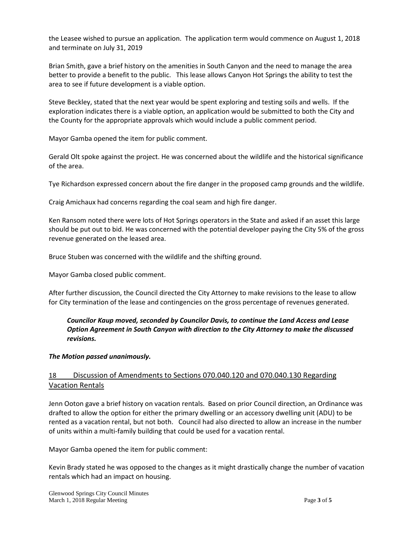the Leasee wished to pursue an application. The application term would commence on August 1, 2018 and terminate on July 31, 2019

Brian Smith, gave a brief history on the amenities in South Canyon and the need to manage the area better to provide a benefit to the public. This lease allows Canyon Hot Springs the ability to test the area to see if future development is a viable option.

Steve Beckley, stated that the next year would be spent exploring and testing soils and wells. If the exploration indicates there is a viable option, an application would be submitted to both the City and the County for the appropriate approvals which would include a public comment period.

Mayor Gamba opened the item for public comment.

Gerald Olt spoke against the project. He was concerned about the wildlife and the historical significance of the area.

Tye Richardson expressed concern about the fire danger in the proposed camp grounds and the wildlife.

Craig Amichaux had concerns regarding the coal seam and high fire danger.

Ken Ransom noted there were lots of Hot Springs operators in the State and asked if an asset this large should be put out to bid. He was concerned with the potential developer paying the City 5% of the gross revenue generated on the leased area.

Bruce Stuben was concerned with the wildlife and the shifting ground.

Mayor Gamba closed public comment.

After further discussion, the Council directed the City Attorney to make revisions to the lease to allow for City termination of the lease and contingencies on the gross percentage of revenues generated.

## *Councilor Kaup moved, seconded by Councilor Davis, to continue the Land Access and Lease Option Agreement in South Canyon with direction to the City Attorney to make the discussed revisions.*

## *The Motion passed unanimously.*

# 18 Discussion of Amendments to Sections 070.040.120 and 070.040.130 Regarding Vacation Rentals

Jenn Ooton gave a brief history on vacation rentals. Based on prior Council direction, an Ordinance was drafted to allow the option for either the primary dwelling or an accessory dwelling unit (ADU) to be rented as a vacation rental, but not both. Council had also directed to allow an increase in the number of units within a multi-family building that could be used for a vacation rental.

Mayor Gamba opened the item for public comment:

Kevin Brady stated he was opposed to the changes as it might drastically change the number of vacation rentals which had an impact on housing.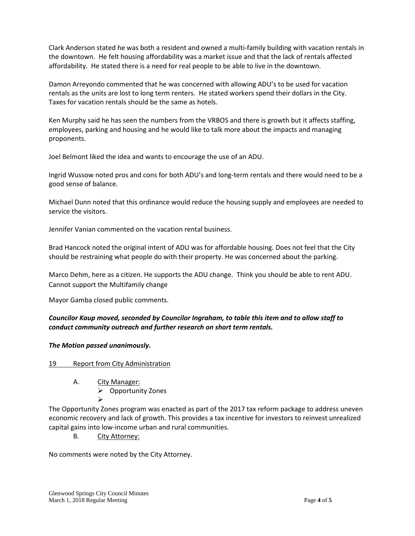Clark Anderson stated he was both a resident and owned a multi-family building with vacation rentals in the downtown. He felt housing affordability was a market issue and that the lack of rentals affected affordability. He stated there is a need for real people to be able to live in the downtown.

Damon Arreyondo commented that he was concerned with allowing ADU's to be used for vacation rentals as the units are lost to long term renters. He stated workers spend their dollars in the City. Taxes for vacation rentals should be the same as hotels.

Ken Murphy said he has seen the numbers from the VRBOS and there is growth but it affects staffing, employees, parking and housing and he would like to talk more about the impacts and managing proponents.

Joel Belmont liked the idea and wants to encourage the use of an ADU.

Ingrid Wussow noted pros and cons for both ADU's and long-term rentals and there would need to be a good sense of balance.

Michael Dunn noted that this ordinance would reduce the housing supply and employees are needed to service the visitors.

Jennifer Vanian commented on the vacation rental business.

Brad Hancock noted the original intent of ADU was for affordable housing. Does not feel that the City should be restraining what people do with their property. He was concerned about the parking.

Marco Dehm, here as a citizen. He supports the ADU change. Think you should be able to rent ADU. Cannot support the Multifamily change

Mayor Gamba closed public comments.

## *Councilor Kaup moved, seconded by Councilor Ingraham, to table this item and to allow staff to conduct community outreach and further research on short term rentals.*

#### *The Motion passed unanimously.*

#### 19 Report from City Administration

- A. City Manager:
	- $\triangleright$  Opportunity Zones
	- $\blacktriangleright$

The Opportunity Zones program was enacted as part of the 2017 tax reform package to address uneven economic recovery and lack of growth. This provides a tax incentive for investors to reinvest unrealized capital gains into low-income urban and rural communities.

B. City Attorney:

No comments were noted by the City Attorney.